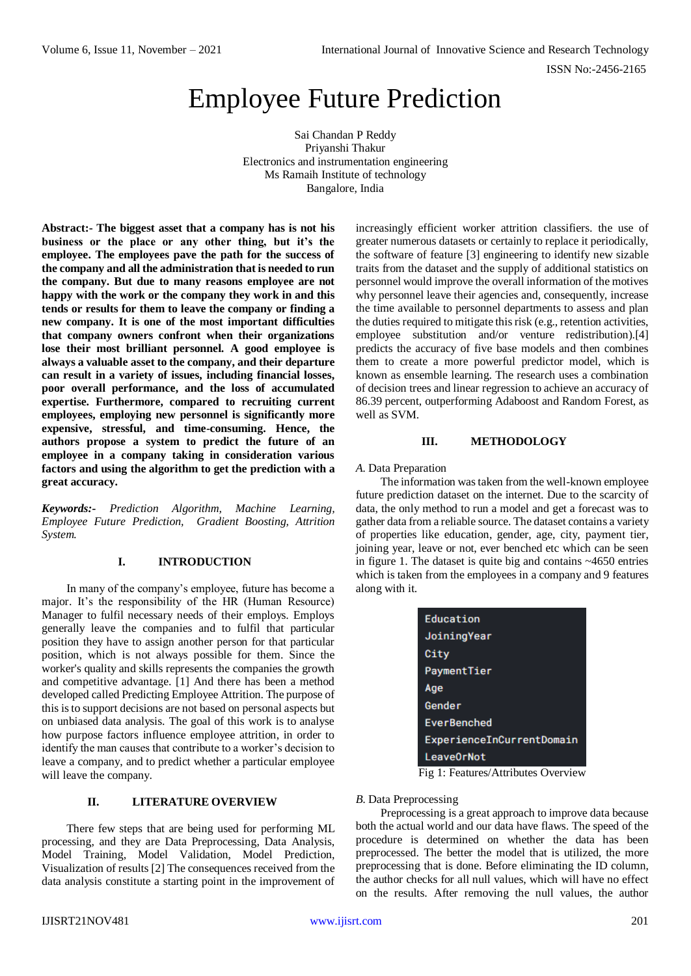# Employee Future Prediction

Sai Chandan P Reddy Priyanshi Thakur Electronics and instrumentation engineering Ms Ramaih Institute of technology Bangalore, India

**Abstract:- The biggest asset that a company has is not his business or the place or any other thing, but it's the employee. The employees pave the path for the success of the company and all the administration that is needed to run the company. But due to many reasons employee are not happy with the work or the company they work in and this tends or results for them to leave the company or finding a new company. It is one of the most important difficulties that company owners confront when their organizations lose their most brilliant personnel. A good employee is always a valuable asset to the company, and their departure can result in a variety of issues, including financial losses, poor overall performance, and the loss of accumulated expertise. Furthermore, compared to recruiting current employees, employing new personnel is significantly more expensive, stressful, and time-consuming. Hence, the authors propose a system to predict the future of an employee in a company taking in consideration various factors and using the algorithm to get the prediction with a great accuracy.**

*Keywords:- Prediction Algorithm, Machine Learning, Employee Future Prediction, Gradient Boosting, Attrition System.*

## **I. INTRODUCTION**

In many of the company's employee, future has become a major. It's the responsibility of the HR (Human Resource) Manager to fulfil necessary needs of their employs. Employs generally leave the companies and to fulfil that particular position they have to assign another person for that particular position, which is not always possible for them. Since the worker's quality and skills represents the companies the growth and competitive advantage. [1] And there has been a method developed called Predicting Employee Attrition. The purpose of this is to support decisions are not based on personal aspects but on unbiased data analysis. The goal of this work is to analyse how purpose factors influence employee attrition, in order to identify the man causes that contribute to a worker's decision to leave a company, and to predict whether a particular employee will leave the company.

## **II. LITERATURE OVERVIEW**

There few steps that are being used for performing ML processing, and they are Data Preprocessing, Data Analysis, Model Training, Model Validation, Model Prediction, Visualization of results [2] The consequences received from the data analysis constitute a starting point in the improvement of increasingly efficient worker attrition classifiers. the use of greater numerous datasets or certainly to replace it periodically, the software of feature [3] engineering to identify new sizable traits from the dataset and the supply of additional statistics on personnel would improve the overall information of the motives why personnel leave their agencies and, consequently, increase the time available to personnel departments to assess and plan the duties required to mitigate this risk (e.g., retention activities, employee substitution and/or venture redistribution).[4] predicts the accuracy of five base models and then combines them to create a more powerful predictor model, which is known as ensemble learning. The research uses a combination of decision trees and linear regression to achieve an accuracy of 86.39 percent, outperforming Adaboost and Random Forest, as well as SVM.

## **III. METHODOLOGY**

*A.* Data Preparation

The information was taken from the well-known employee future prediction dataset on the internet. Due to the scarcity of data, the only method to run a model and get a forecast was to gather data from a reliable source. The dataset contains a variety of properties like education, gender, age, city, payment tier, joining year, leave or not, ever benched etc which can be seen in figure 1. The dataset is quite big and contains ~4650 entries which is taken from the employees in a company and 9 features along with it.

| Education                 |
|---------------------------|
| JoiningYear               |
| City                      |
| PaymentTier               |
| Age                       |
| Gender                    |
| <b>EverBenched</b>        |
| ExperienceInCurrentDomain |
| LeaveOrNot                |

Fig 1: Features/Attributes Overview

## *B.* Data Preprocessing

Preprocessing is a great approach to improve data because both the actual world and our data have flaws. The speed of the procedure is determined on whether the data has been preprocessed. The better the model that is utilized, the more preprocessing that is done. Before eliminating the ID column, the author checks for all null values, which will have no effect on the results. After removing the null values, the author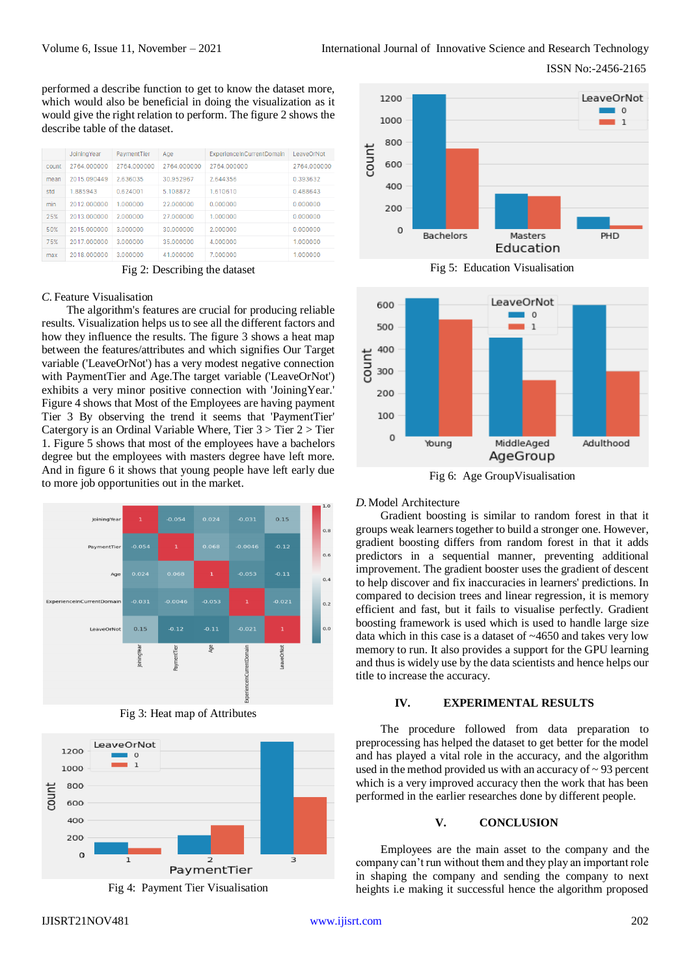ISSN No:-2456-2165

performed a describe function to get to know the dataset more, which would also be beneficial in doing the visualization as it would give the right relation to perform. The figure 2 shows the describe table of the dataset.

|       | JoiningYear | PaymentTier | Age         | <b>ExperienceInCurrentDomain</b> | LeaveOrNot  |
|-------|-------------|-------------|-------------|----------------------------------|-------------|
| count | 2764.000000 | 2764.000000 | 2764.000000 | 2764.000000                      | 2764.000000 |
| mean  | 2015.090449 | 2.636035    | 30.952967   | 2.644356                         | 0.393632    |
| std   | 1.885943    | 0.624001    | 5.108872    | 1.610610                         | 0.488643    |
| min   | 2012.000000 | 1.000000    | 22.000000   | 0.000000                         | 0.000000    |
| 25%   | 2013.000000 | 2.000000    | 27,000000   | 1.000000                         | 0.000000    |
| 50%   | 2015.000000 | 3.000000    | 30.000000   | 2.000000                         | 0.000000    |
| 75%   | 2017.000000 | 3.000000    | 35,000000   | 4.000000                         | 1.000000    |
| max   | 2018.000000 | 3.000000    | 41.000000   | 7.000000                         | 1.000000    |

Fig 2: Describing the dataset

## *C.* Feature Visualisation

The algorithm's features are crucial for producing reliable results. Visualization helps us to see all the different factors and how they influence the results. The figure 3 shows a heat map between the features/attributes and which signifies Our Target variable ('LeaveOrNot') has a very modest negative connection with PaymentTier and Age.The target variable ('LeaveOrNot') exhibits a very minor positive connection with 'JoiningYear.' Figure 4 shows that Most of the Employees are having payment Tier 3 By observing the trend it seems that 'PaymentTier' Catergory is an Ordinal Variable Where, Tier 3 > Tier 2 > Tier 1. Figure 5 shows that most of the employees have a bachelors degree but the employees with masters degree have left more. And in figure 6 it shows that young people have left early due to more job opportunities out in the market.



Fig 3: Heat map of Attributes







Fig 5: Education Visualisation



Fig 6: Age GroupVisualisation

## *D.*Model Architecture

Gradient boosting is similar to random forest in that it groups weak learners together to build a stronger one. However, gradient boosting differs from random forest in that it adds predictors in a sequential manner, preventing additional improvement. The gradient booster uses the gradient of descent to help discover and fix inaccuracies in learners' predictions. In compared to decision trees and linear regression, it is memory efficient and fast, but it fails to visualise perfectly. Gradient boosting framework is used which is used to handle large size data which in this case is a dataset of ~4650 and takes very low memory to run. It also provides a support for the GPU learning and thus is widely use by the data scientists and hence helps our title to increase the accuracy.

#### **IV. EXPERIMENTAL RESULTS**

The procedure followed from data preparation to preprocessing has helped the dataset to get better for the model and has played a vital role in the accuracy, and the algorithm used in the method provided us with an accuracy of  $\sim$  93 percent which is a very improved accuracy then the work that has been performed in the earlier researches done by different people.

#### **V. CONCLUSION**

Employees are the main asset to the company and the company can't run without them and they play an important role in shaping the company and sending the company to next heights i.e making it successful hence the algorithm proposed